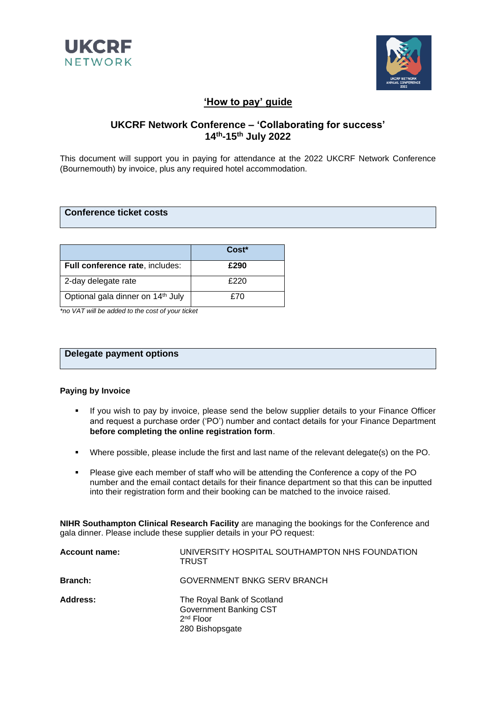



# **'How to pay' guide**

# **UKCRF Network Conference – 'Collaborating for success' 14th-15th July 2022**

This document will support you in paying for attendance at the 2022 UKCRF Network Conference (Bournemouth) by invoice, plus any required hotel accommodation.

### **Conference ticket costs**

|                                               | Cost <sup>*</sup> |
|-----------------------------------------------|-------------------|
| Full conference rate, includes:               | £290              |
| 2-day delegate rate                           | £220              |
| Optional gala dinner on 14 <sup>th</sup> July | £70               |

*\*no VAT will be added to the cost of your ticket*

## **Delegate payment options**

#### **Paying by Invoice**

- **.** If you wish to pay by invoice, please send the below supplier details to your Finance Officer and request a purchase order ('PO') number and contact details for your Finance Department **before completing the online registration form**.
- Where possible, please include the first and last name of the relevant delegate(s) on the PO.
- Please give each member of staff who will be attending the Conference a copy of the PO number and the email contact details for their finance department so that this can be inputted into their registration form and their booking can be matched to the invoice raised.

**NIHR Southampton Clinical Research Facility** are managing the bookings for the Conference and gala dinner. Please include these supplier details in your PO request:

| <b>Account name:</b> | UNIVERSITY HOSPITAL SOUTHAMPTON NHS FOUNDATION<br><b>TRUST</b>                         |
|----------------------|----------------------------------------------------------------------------------------|
| <b>Branch:</b>       | GOVERNMENT BNKG SERV BRANCH                                                            |
| Address:             | The Royal Bank of Scotland<br>Government Banking CST<br>$2nd$ Floor<br>280 Bishopsgate |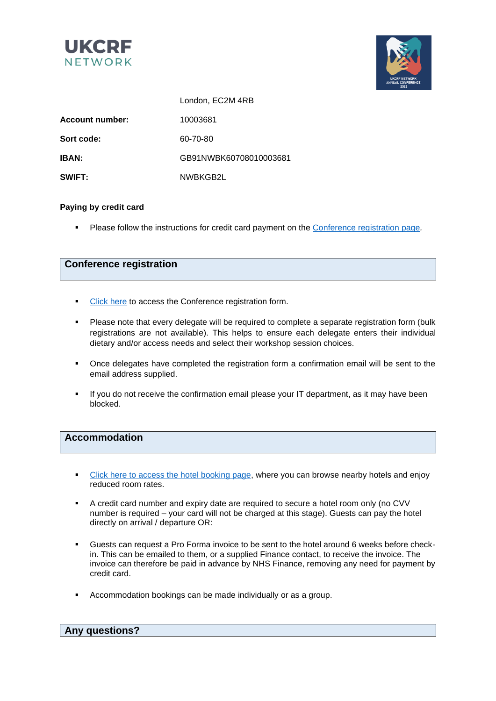



|                        | London, EC2M 4RB       |  |
|------------------------|------------------------|--|
| <b>Account number:</b> | 10003681               |  |
| Sort code:             | 60-70-80               |  |
| <b>IBAN:</b>           | GB91NWBK60708010003681 |  |
| SWIFT:                 | NWBKGB2L               |  |

#### **Paying by credit card**

▪ Please follow the instructions for credit card payment on the [Conference registration page](https://bebres.bzon.uk/nihr-ukcrf-delegate-registration/)*.*

# **Conference registration**

- **[Click here](https://bebres.bzon.uk/nihr-ukcrf-delegate-registration/) to access the Conference registration form.**
- Please note that every delegate will be required to complete a separate registration form (bulk registrations are not available). This helps to ensure each delegate enters their individual dietary and/or access needs and select their workshop session choices.
- Once delegates have completed the registration form a confirmation email will be sent to the email address supplied.
- **.** If you do not receive the confirmation email please your IT department, as it may have been blocked.

### **Accommodation**

- [Click here to access the hotel booking page,](https://bebres.bzon.uk/event/nihr-ukcrf-network-conference-2022/) where you can browse nearby hotels and enjoy reduced room rates.
- A credit card number and expiry date are required to secure a hotel room only (no CVV number is required – your card will not be charged at this stage). Guests can pay the hotel directly on arrival / departure OR:
- Guests can request a Pro Forma invoice to be sent to the hotel around 6 weeks before checkin. This can be emailed to them, or a supplied Finance contact, to receive the invoice. The invoice can therefore be paid in advance by NHS Finance, removing any need for payment by credit card.
- Accommodation bookings can be made individually or as a group.

| <b>Any questions?</b> |  |
|-----------------------|--|
|                       |  |
|                       |  |